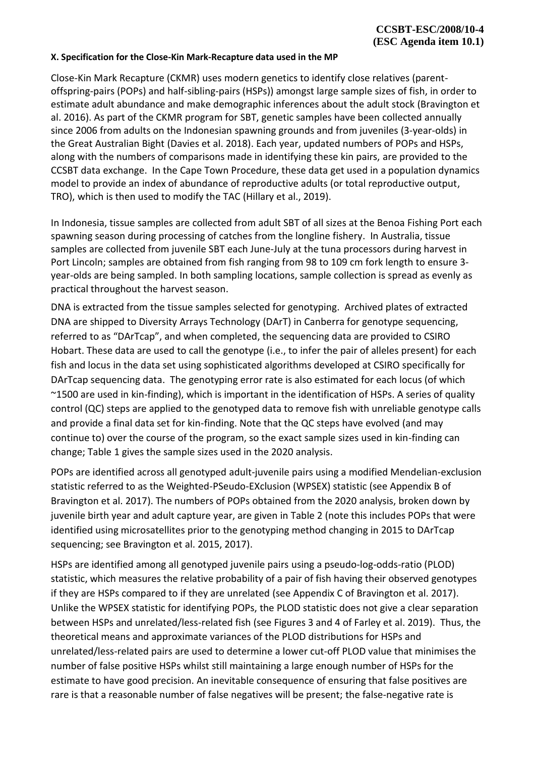## **X. Specification for the Close-Kin Mark-Recapture data used in the MP**

Close-Kin Mark Recapture (CKMR) uses modern genetics to identify close relatives (parentoffspring-pairs (POPs) and half-sibling-pairs (HSPs)) amongst large sample sizes of fish, in order to estimate adult abundance and make demographic inferences about the adult stock (Bravington et al. 2016). As part of the CKMR program for SBT, genetic samples have been collected annually since 2006 from adults on the Indonesian spawning grounds and from juveniles (3-year-olds) in the Great Australian Bight (Davies et al. 2018). Each year, updated numbers of POPs and HSPs, along with the numbers of comparisons made in identifying these kin pairs, are provided to the CCSBT data exchange. In the Cape Town Procedure, these data get used in a population dynamics model to provide an index of abundance of reproductive adults (or total reproductive output, TRO), which is then used to modify the TAC (Hillary et al., 2019).

In Indonesia, tissue samples are collected from adult SBT of all sizes at the Benoa Fishing Port each spawning season during processing of catches from the longline fishery. In Australia, tissue samples are collected from juvenile SBT each June-July at the tuna processors during harvest in Port Lincoln; samples are obtained from fish ranging from 98 to 109 cm fork length to ensure 3 year-olds are being sampled. In both sampling locations, sample collection is spread as evenly as practical throughout the harvest season.

DNA is extracted from the tissue samples selected for genotyping. Archived plates of extracted DNA are shipped to Diversity Arrays Technology (DArT) in Canberra for genotype sequencing, referred to as "DArTcap", and when completed, the sequencing data are provided to CSIRO Hobart. These data are used to call the genotype (i.e., to infer the pair of alleles present) for each fish and locus in the data set using sophisticated algorithms developed at CSIRO specifically for DArTcap sequencing data. The genotyping error rate is also estimated for each locus (of which ~1500 are used in kin-finding), which is important in the identification of HSPs. A series of quality control (QC) steps are applied to the genotyped data to remove fish with unreliable genotype calls and provide a final data set for kin-finding. Note that the QC steps have evolved (and may continue to) over the course of the program, so the exact sample sizes used in kin-finding can change; Table 1 gives the sample sizes used in the 2020 analysis.

POPs are identified across all genotyped adult-juvenile pairs using a modified Mendelian-exclusion statistic referred to as the Weighted-PSeudo-EXclusion (WPSEX) statistic (see Appendix B of Bravington et al. 2017). The numbers of POPs obtained from the 2020 analysis, broken down by juvenile birth year and adult capture year, are given in Table 2 (note this includes POPs that were identified using microsatellites prior to the genotyping method changing in 2015 to DArTcap sequencing; see Bravington et al. 2015, 2017).

HSPs are identified among all genotyped juvenile pairs using a pseudo-log-odds-ratio (PLOD) statistic, which measures the relative probability of a pair of fish having their observed genotypes if they are HSPs compared to if they are unrelated (see Appendix C of Bravington et al. 2017). Unlike the WPSEX statistic for identifying POPs, the PLOD statistic does not give a clear separation between HSPs and unrelated/less-related fish (see Figures 3 and 4 of Farley et al. 2019). Thus, the theoretical means and approximate variances of the PLOD distributions for HSPs and unrelated/less-related pairs are used to determine a lower cut-off PLOD value that minimises the number of false positive HSPs whilst still maintaining a large enough number of HSPs for the estimate to have good precision. An inevitable consequence of ensuring that false positives are rare is that a reasonable number of false negatives will be present; the false-negative rate is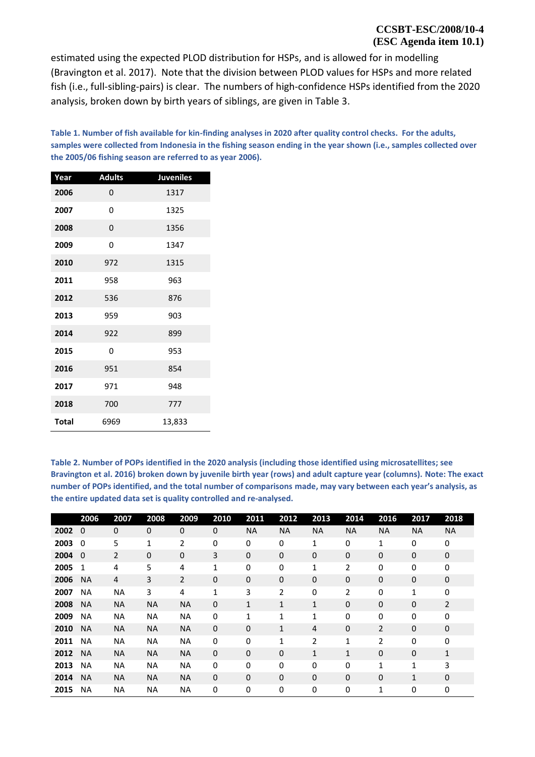## **CCSBT-ESC/2008/10-4 (ESC Agenda item 10.1)**

estimated using the expected PLOD distribution for HSPs, and is allowed for in modelling (Bravington et al. 2017). Note that the division between PLOD values for HSPs and more related fish (i.e., full-sibling-pairs) is clear. The numbers of high-confidence HSPs identified from the 2020 analysis, broken down by birth years of siblings, are given in Table 3.

**Table 1. Number of fish available for kin-finding analyses in 2020 after quality control checks. For the adults, samples were collected from Indonesia in the fishing season ending in the year shown (i.e., samples collected over the 2005/06 fishing season are referred to as year 2006).** 

| Year         | <b>Adults</b> | <b>Juveniles</b> |
|--------------|---------------|------------------|
| 2006         | 0             | 1317             |
| 2007         | 0             | 1325             |
| 2008         | 0             | 1356             |
| 2009         | 0             | 1347             |
| 2010         | 972           | 1315             |
| 2011         | 958           | 963              |
| 2012         | 536           | 876              |
| 2013         | 959           | 903              |
| 2014         | 922           | 899              |
| 2015         | 0             | 953              |
| 2016         | 951           | 854              |
| 2017         | 971           | 948              |
| 2018         | 700           | 777              |
| <b>Total</b> | 6969          | 13,833           |

**Table 2. Number of POPs identified in the 2020 analysis (including those identified using microsatellites; see Bravington et al. 2016) broken down by juvenile birth year (rows) and adult capture year (columns). Note: The exact number of POPs identified, and the total number of comparisons made, may vary between each year's analysis, as the entire updated data set is quality controlled and re-analysed.**

|      | 2006         | 2007           | 2008        | 2009           | 2010        | 2011         | 2012             | 2013         | 2014         | 2016           | 2017         | 2018           |
|------|--------------|----------------|-------------|----------------|-------------|--------------|------------------|--------------|--------------|----------------|--------------|----------------|
| 2002 | $\Omega$     | $\Omega$       | $\mathbf 0$ | $\mathbf 0$    | $\mathbf 0$ | <b>NA</b>    | <b>NA</b>        | <b>NA</b>    | <b>NA</b>    | <b>NA</b>      | <b>NA</b>    | <b>NA</b>      |
| 2003 | $\Omega$     | 5              | 1           | 2              | 0           | 0            | 0                | 1            | 0            | 1              | 0            | 0              |
| 2004 | $\mathbf{0}$ | $\overline{2}$ | $\mathbf 0$ | $\mathbf 0$    | 3           | $\mathbf 0$  | $\boldsymbol{0}$ | $\pmb{0}$    | 0            | 0              | 0            | 0              |
| 2005 | 1            | 4              | 5           | 4              | 1           | 0            | 0                | 1            | 2            | 0              | $\mathbf 0$  | 0              |
| 2006 | <b>NA</b>    | 4              | 3           | $\overline{2}$ | $\mathbf 0$ | $\mathbf 0$  | $\mathbf 0$      | $\mathbf 0$  | 0            | 0              | 0            | 0              |
| 2007 | <b>NA</b>    | ΝA             | 3           | 4              | 1           | 3            | $\overline{2}$   | $\mathbf 0$  | 2            | 0              | 1            | 0              |
| 2008 | <b>NA</b>    | <b>NA</b>      | <b>NA</b>   | <b>NA</b>      | $\mathbf 0$ | $\mathbf{1}$ | $\mathbf{1}$     | $\mathbf{1}$ | 0            | 0              | 0            | $\overline{2}$ |
| 2009 | <b>NA</b>    | <b>NA</b>      | <b>NA</b>   | <b>NA</b>      | 0           | 1            | $\mathbf{1}$     | $\mathbf{1}$ | 0            | 0              | 0            | 0              |
| 2010 | <b>NA</b>    | <b>NA</b>      | <b>NA</b>   | <b>NA</b>      | $\mathbf 0$ | $\mathbf 0$  | $\mathbf{1}$     | 4            | $\mathbf 0$  | $\overline{2}$ | 0            | 0              |
| 2011 | <b>NA</b>    | <b>NA</b>      | <b>NA</b>   | <b>NA</b>      | 0           | $\mathbf 0$  | $\mathbf{1}$     | 2            | 1            | 2              | $\mathbf 0$  | 0              |
| 2012 | <b>NA</b>    | <b>NA</b>      | <b>NA</b>   | <b>NA</b>      | $\mathbf 0$ | $\mathbf 0$  | $\mathbf 0$      | $\mathbf{1}$ | $\mathbf{1}$ | 0              | $\mathbf 0$  | $\mathbf{1}$   |
| 2013 | <b>NA</b>    | <b>NA</b>      | <b>NA</b>   | <b>NA</b>      | 0           | 0            | 0                | 0            | 0            | 1              | 1            | 3              |
| 2014 | <b>NA</b>    | <b>NA</b>      | <b>NA</b>   | <b>NA</b>      | $\mathbf 0$ | $\mathbf 0$  | $\mathbf 0$      | $\mathbf 0$  | $\mathbf 0$  | 0              | $\mathbf{1}$ | 0              |
| 2015 | <b>NA</b>    | <b>NA</b>      | NA          | NA             | 0           | 0            | 0                | 0            | 0            | 1              | 0            | 0              |